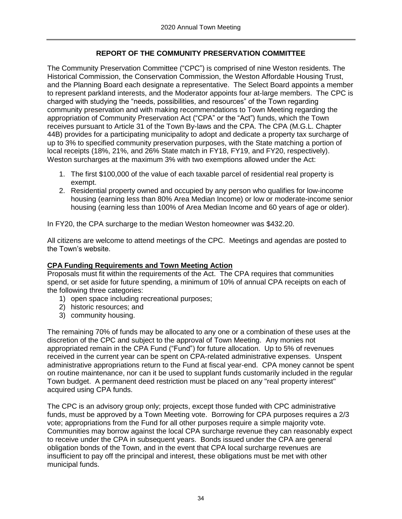## **REPORT OF THE COMMUNITY PRESERVATION COMMITTEE**

The Community Preservation Committee ("CPC") is comprised of nine Weston residents. The Historical Commission, the Conservation Commission, the Weston Affordable Housing Trust, and the Planning Board each designate a representative. The Select Board appoints a member to represent parkland interests, and the Moderator appoints four at-large members. The CPC is charged with studying the "needs, possibilities, and resources" of the Town regarding community preservation and with making recommendations to Town Meeting regarding the appropriation of Community Preservation Act ("CPA" or the "Act") funds, which the Town receives pursuant to Article 31 of the Town By-laws and the CPA. The CPA (M.G.L. Chapter 44B) provides for a participating municipality to adopt and dedicate a property tax surcharge of up to 3% to specified community preservation purposes, with the State matching a portion of local receipts (18%, 21%, and 26% State match in FY18, FY19, and FY20, respectively). Weston surcharges at the maximum 3% with two exemptions allowed under the Act:

- 1. The first \$100,000 of the value of each taxable parcel of residential real property is exempt.
- 2. Residential property owned and occupied by any person who qualifies for low-income housing (earning less than 80% Area Median Income) or low or moderate-income senior housing (earning less than 100% of Area Median Income and 60 years of age or older).

In FY20, the CPA surcharge to the median Weston homeowner was \$432.20.

All citizens are welcome to attend meetings of the CPC. Meetings and agendas are posted to the Town's website.

#### **CPA Funding Requirements and Town Meeting Action**

Proposals must fit within the requirements of the Act. The CPA requires that communities spend, or set aside for future spending, a minimum of 10% of annual CPA receipts on each of the following three categories:

- 1) open space including recreational purposes;
- 2) historic resources; and
- 3) community housing.

The remaining 70% of funds may be allocated to any one or a combination of these uses at the discretion of the CPC and subject to the approval of Town Meeting. Any monies not appropriated remain in the CPA Fund ("Fund") for future allocation. Up to 5% of revenues received in the current year can be spent on CPA-related administrative expenses. Unspent administrative appropriations return to the Fund at fiscal year-end. CPA money cannot be spent on routine maintenance, nor can it be used to supplant funds customarily included in the regular Town budget. A permanent deed restriction must be placed on any "real property interest" acquired using CPA funds.

The CPC is an advisory group only; projects, except those funded with CPC administrative funds, must be approved by a Town Meeting vote. Borrowing for CPA purposes requires a 2/3 vote; appropriations from the Fund for all other purposes require a simple majority vote. Communities may borrow against the local CPA surcharge revenue they can reasonably expect to receive under the CPA in subsequent years. Bonds issued under the CPA are general obligation bonds of the Town, and in the event that CPA local surcharge revenues are insufficient to pay off the principal and interest, these obligations must be met with other municipal funds.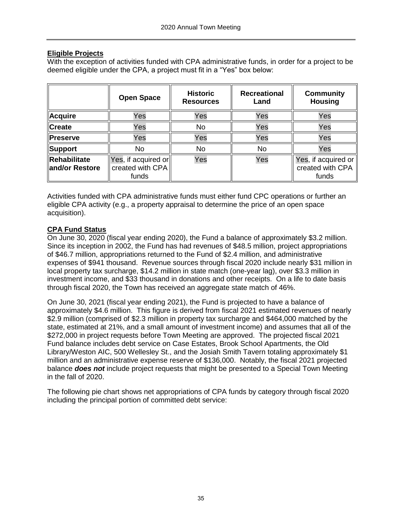### **Eligible Projects**

With the exception of activities funded with CPA administrative funds, in order for a project to be deemed eligible under the CPA, a project must fit in a "Yes" box below:

|                                | <b>Open Space</b>                                | <b>Historic</b><br><b>Resources</b> | <b>Recreational</b><br>Land | <b>Community</b><br><b>Housing</b>                       |
|--------------------------------|--------------------------------------------------|-------------------------------------|-----------------------------|----------------------------------------------------------|
| Acquire                        | Yes                                              | Yes                                 | Yes                         | Yes                                                      |
| Create                         | Yes                                              | <b>No</b>                           | Yes                         | Yes                                                      |
| <b>Preserve</b>                | Yes                                              | Yes                                 | Yes                         | Yes                                                      |
| Support                        | No                                               | <b>No</b>                           | <b>No</b>                   | Yes                                                      |
| Rehabilitate<br>and/or Restore | Yes, if acquired or<br>created with CPA<br>funds | Yes                                 | Yes                         | Yes, if acquired or $\vert$<br>created with CPA<br>funds |

Activities funded with CPA administrative funds must either fund CPC operations or further an eligible CPA activity (e.g., a property appraisal to determine the price of an open space acquisition).

### **CPA Fund Status**

On June 30, 2020 (fiscal year ending 2020), the Fund a balance of approximately \$3.2 million. Since its inception in 2002, the Fund has had revenues of \$48.5 million, project appropriations of \$46.7 million, appropriations returned to the Fund of \$2.4 million, and administrative expenses of \$941 thousand. Revenue sources through fiscal 2020 include nearly \$31 million in local property tax surcharge, \$14.2 million in state match (one-year lag), over \$3.3 million in investment income, and \$33 thousand in donations and other receipts. On a life to date basis through fiscal 2020, the Town has received an aggregate state match of 46%.

On June 30, 2021 (fiscal year ending 2021), the Fund is projected to have a balance of approximately \$4.6 million. This figure is derived from fiscal 2021 estimated revenues of nearly \$2.9 million (comprised of \$2.3 million in property tax surcharge and \$464,000 matched by the state, estimated at 21%, and a small amount of investment income) and assumes that all of the \$272,000 in project requests before Town Meeting are approved. The projected fiscal 2021 Fund balance includes debt service on Case Estates, Brook School Apartments, the Old Library/Weston AIC, 500 Wellesley St., and the Josiah Smith Tavern totaling approximately \$1 million and an administrative expense reserve of \$136,000. Notably, the fiscal 2021 projected balance *does not* include project requests that might be presented to a Special Town Meeting in the fall of 2020.

The following pie chart shows net appropriations of CPA funds by category through fiscal 2020 including the principal portion of committed debt service: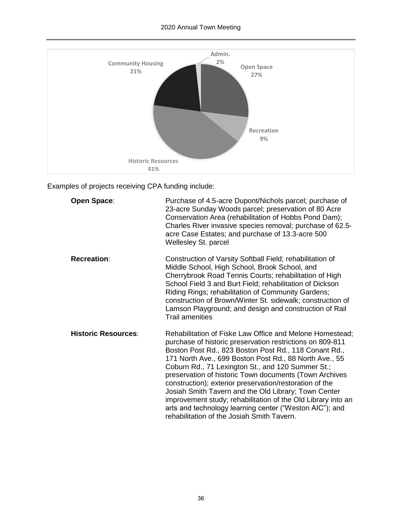# 2020 Annual Town Meeting



Examples of projects receiving CPA funding include:

| <b>Open Space:</b>         | Purchase of 4.5-acre Dupont/Nichols parcel; purchase of<br>23-acre Sunday Woods parcel; preservation of 80 Acre<br>Conservation Area (rehabilitation of Hobbs Pond Dam);<br>Charles River invasive species removal; purchase of 62.5-<br>acre Case Estates; and purchase of 13.3-acre 500<br>Wellesley St. parcel                                                                                                                                                                                                                                                                                                                                   |
|----------------------------|-----------------------------------------------------------------------------------------------------------------------------------------------------------------------------------------------------------------------------------------------------------------------------------------------------------------------------------------------------------------------------------------------------------------------------------------------------------------------------------------------------------------------------------------------------------------------------------------------------------------------------------------------------|
| <b>Recreation:</b>         | Construction of Varsity Softball Field; rehabilitation of<br>Middle School, High School, Brook School, and<br>Cherrybrook Road Tennis Courts; rehabilitation of High<br>School Field 3 and Burt Field; rehabilitation of Dickson<br>Riding Rings; rehabilitation of Community Gardens;<br>construction of Brown/Winter St. sidewalk; construction of<br>Lamson Playground; and design and construction of Rail<br><b>Trail amenities</b>                                                                                                                                                                                                            |
| <b>Historic Resources:</b> | Rehabilitation of Fiske Law Office and Melone Homestead;<br>purchase of historic preservation restrictions on 809-811<br>Boston Post Rd., 823 Boston Post Rd., 118 Conant Rd.,<br>171 North Ave., 699 Boston Post Rd., 88 North Ave., 55<br>Coburn Rd., 71 Lexington St., and 120 Summer St.;<br>preservation of historic Town documents (Town Archives<br>construction); exterior preservation/restoration of the<br>Josiah Smith Tavern and the Old Library; Town Center<br>improvement study; rehabilitation of the Old Library into an<br>arts and technology learning center ("Weston AIC"); and<br>rehabilitation of the Josiah Smith Tavern. |